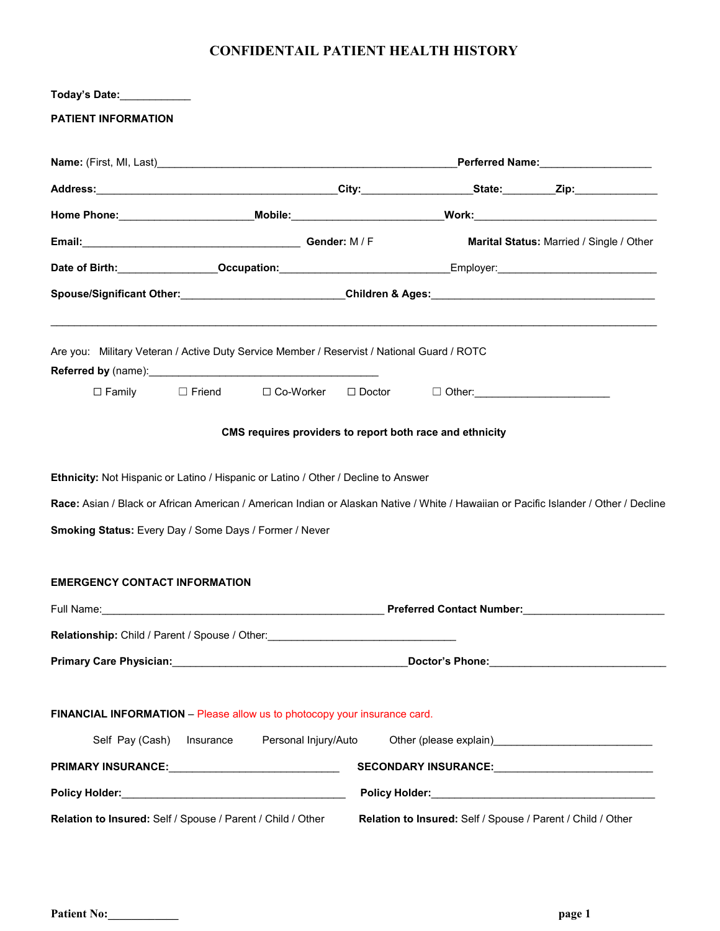## **CONFIDENTAIL PATIENT HEALTH HISTORY**

| Today's Date:                                                                                                                                                   |           |                      |  |                                                                                                                                                                                                                                |                                                                                                                                      |  |
|-----------------------------------------------------------------------------------------------------------------------------------------------------------------|-----------|----------------------|--|--------------------------------------------------------------------------------------------------------------------------------------------------------------------------------------------------------------------------------|--------------------------------------------------------------------------------------------------------------------------------------|--|
| PATIENT INFORMATION                                                                                                                                             |           |                      |  |                                                                                                                                                                                                                                |                                                                                                                                      |  |
|                                                                                                                                                                 |           |                      |  |                                                                                                                                                                                                                                |                                                                                                                                      |  |
|                                                                                                                                                                 |           |                      |  |                                                                                                                                                                                                                                |                                                                                                                                      |  |
|                                                                                                                                                                 |           |                      |  |                                                                                                                                                                                                                                | Home Phone:_______________________Mobile:________________________Work:______________________________                                 |  |
| Email: Gender: M / F                                                                                                                                            |           |                      |  |                                                                                                                                                                                                                                | <b>Marital Status: Married / Single / Other</b>                                                                                      |  |
|                                                                                                                                                                 |           |                      |  | Date of Birth: Contract of Birth: Contract of Birth: Contract of Birth: Contract of Birth: Contract of Birth: Contract of Birth: Contract of Birth: Contract of Birth: Contract of Birth: Contract of Birth: Contract of Birth |                                                                                                                                      |  |
|                                                                                                                                                                 |           |                      |  |                                                                                                                                                                                                                                | Spouse/Significant Other:____________________________Children & Ages:_______________________________                                 |  |
| Are you: Military Veteran / Active Duty Service Member / Reservist / National Guard / ROTC                                                                      |           |                      |  |                                                                                                                                                                                                                                |                                                                                                                                      |  |
|                                                                                                                                                                 |           |                      |  | □ Family Deriend Disco-Worker DiDoctor DiOther: 2000 Details Development DiOther:                                                                                                                                              |                                                                                                                                      |  |
|                                                                                                                                                                 |           |                      |  | CMS requires providers to report both race and ethnicity                                                                                                                                                                       |                                                                                                                                      |  |
| Ethnicity: Not Hispanic or Latino / Hispanic or Latino / Other / Decline to Answer                                                                              |           |                      |  |                                                                                                                                                                                                                                |                                                                                                                                      |  |
|                                                                                                                                                                 |           |                      |  |                                                                                                                                                                                                                                | Race: Asian / Black or African American / American Indian or Alaskan Native / White / Hawaiian or Pacific Islander / Other / Decline |  |
| <b>Smoking Status:</b> Every Day / Some Days / Former / Never                                                                                                   |           |                      |  |                                                                                                                                                                                                                                |                                                                                                                                      |  |
| <b>EMERGENCY CONTACT INFORMATION</b>                                                                                                                            |           |                      |  |                                                                                                                                                                                                                                |                                                                                                                                      |  |
|                                                                                                                                                                 |           |                      |  | Preferred Contact Number:                                                                                                                                                                                                      |                                                                                                                                      |  |
| Relationship: Child / Parent / Spouse / Other:<br>1990 - The Manager Manager Manager Manager Manager Manager Manager Manager Manager Manager Manager Manager Ma |           |                      |  |                                                                                                                                                                                                                                |                                                                                                                                      |  |
|                                                                                                                                                                 |           |                      |  |                                                                                                                                                                                                                                | _Doctor's Phone:__________________________________                                                                                   |  |
| FINANCIAL INFORMATION - Please allow us to photocopy your insurance card.                                                                                       |           |                      |  |                                                                                                                                                                                                                                |                                                                                                                                      |  |
| Self Pay (Cash)                                                                                                                                                 | Insurance | Personal Injury/Auto |  |                                                                                                                                                                                                                                | Other (please explain)<br><u>Discrete explain</u>                                                                                    |  |
|                                                                                                                                                                 |           |                      |  |                                                                                                                                                                                                                                | SECONDARY INSURANCE: ______________________________                                                                                  |  |
|                                                                                                                                                                 |           |                      |  |                                                                                                                                                                                                                                |                                                                                                                                      |  |
| Relation to Insured: Self / Spouse / Parent / Child / Other                                                                                                     |           |                      |  | Relation to Insured: Self / Spouse / Parent / Child / Other                                                                                                                                                                    |                                                                                                                                      |  |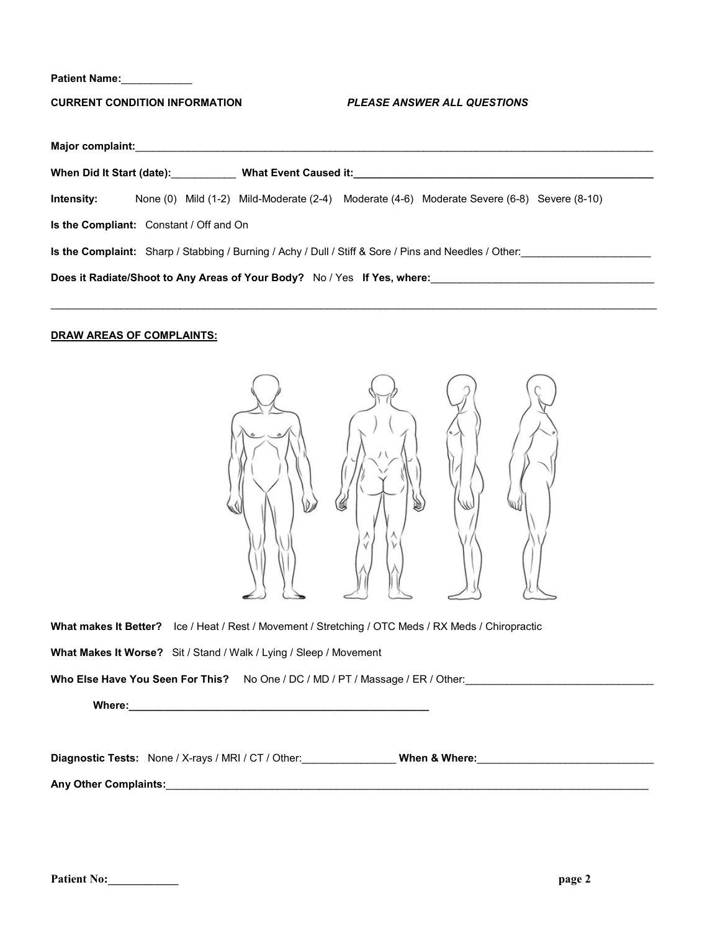**Patient Name:**\_\_\_\_\_\_\_\_\_\_\_\_

**CURRENT CONDITION INFORMATION** *PLEASE ANSWER ALL QUESTIONS*

| Major complaint:                                                                                             |  |  |  |  |                                                                                            |  |
|--------------------------------------------------------------------------------------------------------------|--|--|--|--|--------------------------------------------------------------------------------------------|--|
| When Did It Start (date):                                                                                    |  |  |  |  | What Event Caused it: Manual Canada and Separate Caused it:                                |  |
| Intensity:                                                                                                   |  |  |  |  | None (0) Mild (1-2) Mild-Moderate (2-4) Moderate (4-6) Moderate Severe (6-8) Severe (8-10) |  |
| <b>Is the Compliant:</b> Constant / Off and On                                                               |  |  |  |  |                                                                                            |  |
| <b>Is the Complaint:</b> Sharp / Stabbing / Burning / Achy / Dull / Stiff & Sore / Pins and Needles / Other: |  |  |  |  |                                                                                            |  |
| Does it Radiate/Shoot to Any Areas of Your Body? No / Yes If Yes, where:                                     |  |  |  |  |                                                                                            |  |

 $\mathcal{L}_\mathcal{L} = \{ \mathcal{L}_\mathcal{L} = \{ \mathcal{L}_\mathcal{L} = \{ \mathcal{L}_\mathcal{L} = \{ \mathcal{L}_\mathcal{L} = \{ \mathcal{L}_\mathcal{L} = \{ \mathcal{L}_\mathcal{L} = \{ \mathcal{L}_\mathcal{L} = \{ \mathcal{L}_\mathcal{L} = \{ \mathcal{L}_\mathcal{L} = \{ \mathcal{L}_\mathcal{L} = \{ \mathcal{L}_\mathcal{L} = \{ \mathcal{L}_\mathcal{L} = \{ \mathcal{L}_\mathcal{L} = \{ \mathcal{L}_\mathcal{$ 

## **DRAW AREAS OF COMPLAINTS:**



**What makes It Better?** Ice / Heat / Rest / Movement / Stretching / OTC Meds / RX Meds / Chiropractic

**What Makes It Worse?** Sit / Stand / Walk / Lying / Sleep / Movement

Who Else Have You Seen For This? No One / DC / MD / PT / Massage / ER / Other: \_\_\_\_\_\_\_\_\_\_\_\_\_\_\_\_\_\_\_\_\_\_\_\_\_\_\_\_\_\_\_\_

Where: where a set of the set of the set of the set of the set of the set of the set of the set of the set of the set of the set of the set of the set of the set of the set of the set of the set of the set of the set of th

Diagnostic Tests: None / X-rays / MRI / CT / Other: **When & Where:** When **& Where:** 

**Any Other Complaints:**\_\_\_\_\_\_\_\_\_\_\_\_\_\_\_\_\_\_\_\_\_\_\_\_\_\_\_\_\_\_\_\_\_\_\_\_\_\_\_\_\_\_\_\_\_\_\_\_\_\_\_\_\_\_\_\_\_\_\_\_\_\_\_\_\_\_\_\_\_\_\_\_\_\_\_\_\_\_\_\_\_\_